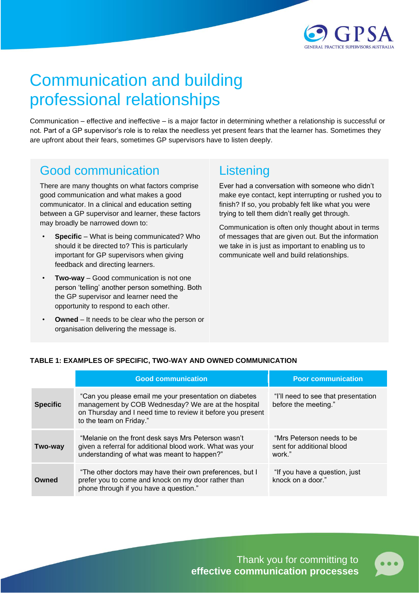

# Communication and building professional relationships

Communication – effective and ineffective – is a major factor in determining whether a relationship is successful or not. Part of a GP supervisor's role is to relax the needless yet present fears that the learner has. Sometimes they are upfront about their fears, sometimes GP supervisors have to listen deeply.

### Good communication

There are many thoughts on what factors comprise good communication and what makes a good communicator. In a clinical and education setting between a GP supervisor and learner, these factors may broadly be narrowed down to:

- **Specific** What is being communicated? Who should it be directed to? This is particularly important for GP supervisors when giving feedback and directing learners.
- **Two-way** Good communication is not one person 'telling' another person something. Both the GP supervisor and learner need the opportunity to respond to each other.
- **Owned** It needs to be clear who the person or organisation delivering the message is.

### **Listening**

Ever had a conversation with someone who didn't make eye contact, kept interrupting or rushed you to finish? If so, you probably felt like what you were trying to tell them didn't really get through.

Communication is often only thought about in terms of messages that are given out. But the information we take in is just as important to enabling us to communicate well and build relationships.

#### **TABLE 1: EXAMPLES OF SPECIFIC, TWO-WAY AND OWNED COMMUNICATION**

|                 | <b>Good communication</b>                                                                                                                                                                               | <b>Poor communication</b>                                        |
|-----------------|---------------------------------------------------------------------------------------------------------------------------------------------------------------------------------------------------------|------------------------------------------------------------------|
| <b>Specific</b> | "Can you please email me your presentation on diabetes<br>management by COB Wednesday? We are at the hospital<br>on Thursday and I need time to review it before you present<br>to the team on Friday." | "I'll need to see that presentation<br>before the meeting."      |
| Two-way         | "Melanie on the front desk says Mrs Peterson wasn't<br>given a referral for additional blood work. What was your<br>understanding of what was meant to happen?"                                         | "Mrs Peterson needs to be<br>sent for additional blood<br>work." |
| Owned           | "The other doctors may have their own preferences, but I<br>prefer you to come and knock on my door rather than<br>phone through if you have a question."                                               | "If you have a question, just<br>knock on a door."               |